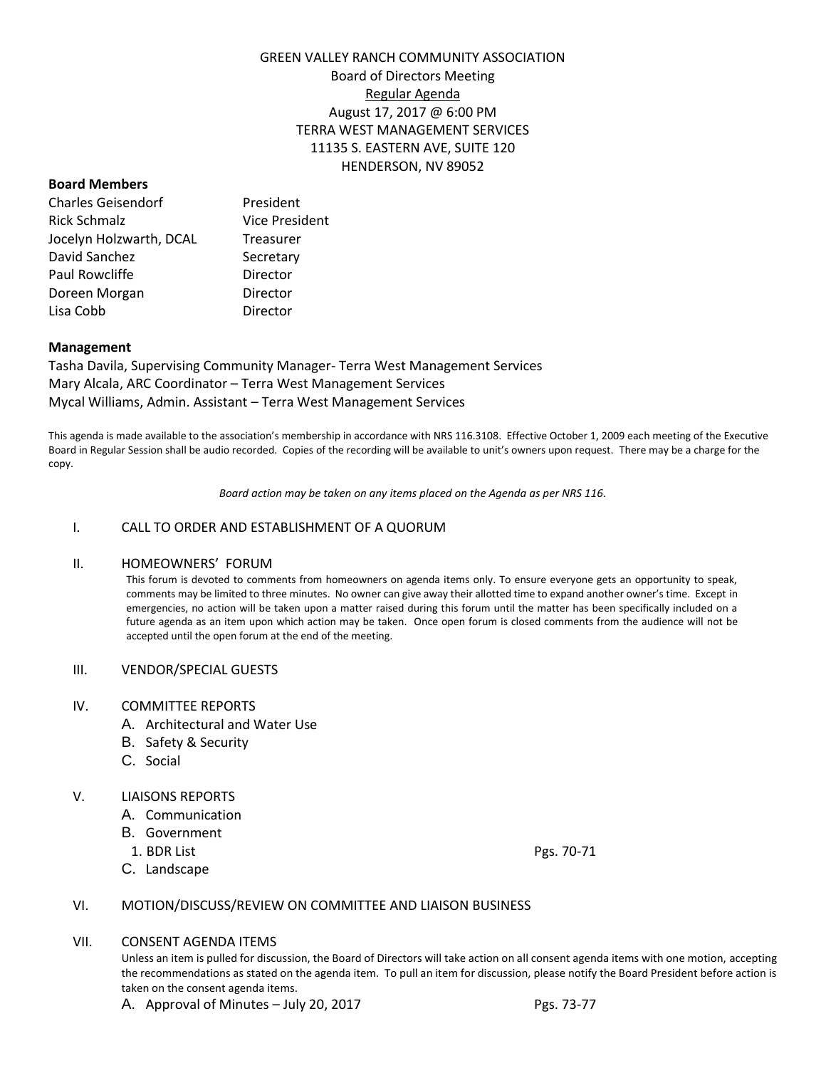# GREEN VALLEY RANCH COMMUNITY ASSOCIATION Board of Directors Meeting Regular Agenda August 17, 2017 @ 6:00 PM TERRA WEST MANAGEMENT SERVICES 11135 S. EASTERN AVE, SUITE 120 HENDERSON, NV 89052

## **Board Members**

| <b>Charles Geisendorf</b> | President             |
|---------------------------|-----------------------|
| Rick Schmalz              | <b>Vice President</b> |
| Jocelyn Holzwarth, DCAL   | Treasurer             |
| David Sanchez             | Secretary             |
| Paul Rowcliffe            | Director              |
| Doreen Morgan             | Director              |
| Lisa Cobb                 | Director              |

# **Management**

Tasha Davila, Supervising Community Manager- Terra West Management Services Mary Alcala, ARC Coordinator – Terra West Management Services Mycal Williams, Admin. Assistant – Terra West Management Services

This agenda is made available to the association's membership in accordance with NRS 116.3108. Effective October 1, 2009 each meeting of the Executive Board in Regular Session shall be audio recorded. Copies of the recording will be available to unit's owners upon request. There may be a charge for the copy.

*Board action may be taken on any items placed on the Agenda as per NRS 116.*

# I. CALL TO ORDER AND ESTABLISHMENT OF A QUORUM

## II. HOMEOWNERS' FORUM

This forum is devoted to comments from homeowners on agenda items only. To ensure everyone gets an opportunity to speak, comments may be limited to three minutes. No owner can give away their allotted time to expand another owner's time. Except in emergencies, no action will be taken upon a matter raised during this forum until the matter has been specifically included on a future agenda as an item upon which action may be taken. Once open forum is closed comments from the audience will not be accepted until the open forum at the end of the meeting.

## III. VENDOR/SPECIAL GUESTS

## IV. COMMITTEE REPORTS

- A. Architectural and Water Use
- B. Safety & Security
- C. Social

## V. LIAISONS REPORTS

- A. Communication
- B. Government
- 1. BDR List Pgs. 70-71
- C. Landscape

# VI. MOTION/DISCUSS/REVIEW ON COMMITTEE AND LIAISON BUSINESS

## VII. CONSENT AGENDA ITEMS

Unless an item is pulled for discussion, the Board of Directors will take action on all consent agenda items with one motion, accepting the recommendations as stated on the agenda item. To pull an item for discussion, please notify the Board President before action is taken on the consent agenda items.

A. Approval of Minutes – July 20, 2017  $\qquad \qquad \qquad$  Pgs. 73-77